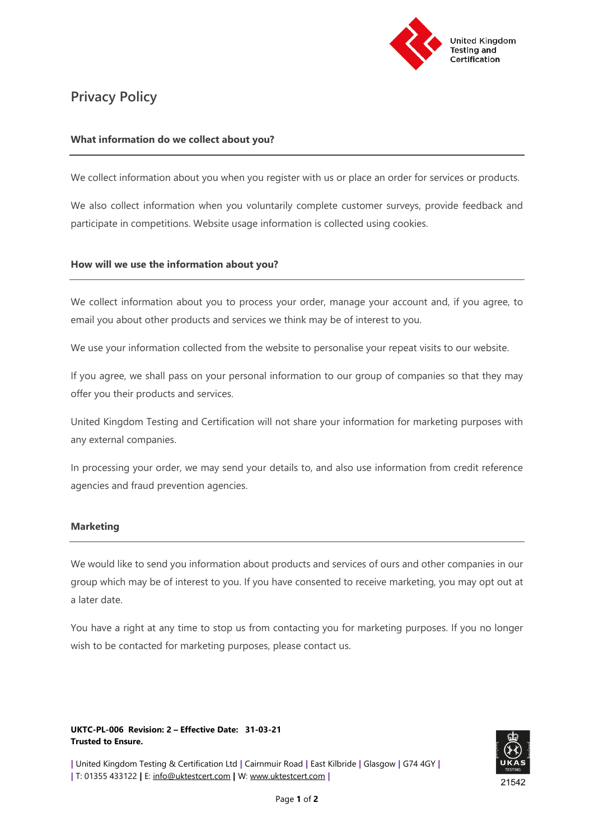

# **Privacy Policy**

## **What information do we collect about you?**

We collect information about you when you register with us or place an order for services or products.

We also collect information when you voluntarily complete customer surveys, provide feedback and participate in competitions. Website usage information is collected using cookies.

## **How will we use the information about you?**

We collect information about you to process your order, manage your account and, if you agree, to email you about other products and services we think may be of interest to you.

We use your information collected from the website to personalise your repeat visits to our website.

If you agree, we shall pass on your personal information to our group of companies so that they may offer you their products and services.

United Kingdom Testing and Certification will not share your information for marketing purposes with any external companies.

In processing your order, we may send your details to, and also use information from credit reference agencies and fraud prevention agencies.

## **Marketing**

We would like to send you information about products and services of ours and other companies in our group which may be of interest to you. If you have consented to receive marketing, you may opt out at a later date.

You have a right at any time to stop us from contacting you for marketing purposes. If you no longer wish to be contacted for marketing purposes, please contact us.

#### **UKTC-PL-006 Revision: 2 – Effective Date: 31-03-21 Trusted to Ensure.**